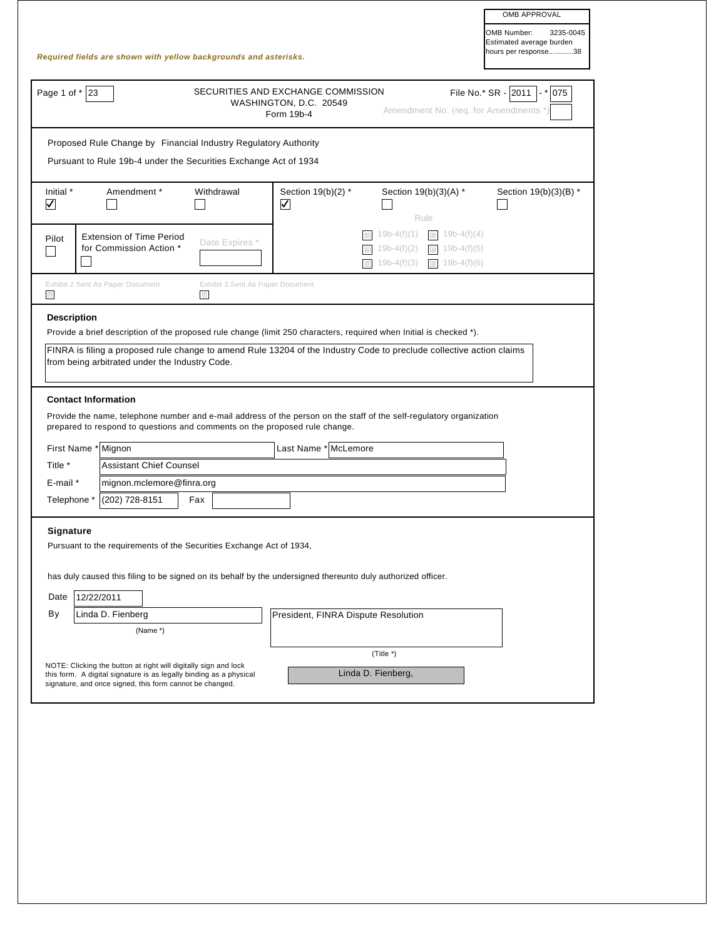|                                   |                                                                                                                                |                                       |                                                                            |                                                                                                                      | OMB APPROVAL                                                                 |
|-----------------------------------|--------------------------------------------------------------------------------------------------------------------------------|---------------------------------------|----------------------------------------------------------------------------|----------------------------------------------------------------------------------------------------------------------|------------------------------------------------------------------------------|
|                                   | Required fields are shown with yellow backgrounds and asterisks.                                                               |                                       |                                                                            |                                                                                                                      | OMB Number:<br>3235-0045<br>Estimated average burden<br>hours per response38 |
|                                   |                                                                                                                                |                                       |                                                                            |                                                                                                                      |                                                                              |
| Page 1 of $*$ 23                  |                                                                                                                                |                                       | SECURITIES AND EXCHANGE COMMISSION<br>WASHINGTON, D.C. 20549<br>Form 19b-4 | Amendment No. (req. for Amendments *)                                                                                | File No.* SR - 2011 - * 075                                                  |
|                                   | Proposed Rule Change by Financial Industry Regulatory Authority                                                                |                                       |                                                                            |                                                                                                                      |                                                                              |
|                                   | Pursuant to Rule 19b-4 under the Securities Exchange Act of 1934                                                               |                                       |                                                                            |                                                                                                                      |                                                                              |
| Initial *<br>$\blacktriangledown$ | Amendment *                                                                                                                    | Withdrawal                            | Section 19(b)(2) *<br>$\blacktriangledown$                                 | Section 19(b)(3)(A) *<br>Rule                                                                                        | Section 19(b)(3)(B) *                                                        |
| Pilot                             | <b>Extension of Time Period</b><br>for Commission Action *                                                                     | Date Expires *                        |                                                                            | $19b-4(f)(1)$<br>$19b-4(f)(4)$<br>$19b-4(f)(2)$<br>$19b-4(f)(5)$<br>$19b-4(f)(3)$<br>$19b-4(f)(6)$<br>$\Box$         |                                                                              |
| $\boxed{\text{o}}$                | Exhibit 2 Sent As Paper Document                                                                                               | Exhibit 3 Sent As Paper Document<br>o |                                                                            |                                                                                                                      |                                                                              |
| <b>Description</b>                |                                                                                                                                |                                       |                                                                            | Provide a brief description of the proposed rule change (limit 250 characters, required when Initial is checked *).  |                                                                              |
|                                   |                                                                                                                                |                                       |                                                                            | FINRA is filing a proposed rule change to amend Rule 13204 of the Industry Code to preclude collective action claims |                                                                              |
|                                   | from being arbitrated under the Industry Code.                                                                                 |                                       |                                                                            |                                                                                                                      |                                                                              |
|                                   |                                                                                                                                |                                       |                                                                            |                                                                                                                      |                                                                              |
|                                   | <b>Contact Information</b>                                                                                                     |                                       |                                                                            |                                                                                                                      |                                                                              |
|                                   |                                                                                                                                |                                       |                                                                            | Provide the name, telephone number and e-mail address of the person on the staff of the self-regulatory organization |                                                                              |
|                                   | prepared to respond to questions and comments on the proposed rule change.                                                     |                                       |                                                                            |                                                                                                                      |                                                                              |
|                                   | First Name * Mignon                                                                                                            |                                       | Last Name * McLemore                                                       |                                                                                                                      |                                                                              |
| Title *                           |                                                                                                                                | <b>Assistant Chief Counsel</b>        |                                                                            |                                                                                                                      |                                                                              |
| E-mail *                          |                                                                                                                                | mignon.mclemore@finra.org             |                                                                            |                                                                                                                      |                                                                              |
| Telephone *                       | (202) 728-8151                                                                                                                 | Fax                                   |                                                                            |                                                                                                                      |                                                                              |
|                                   |                                                                                                                                |                                       |                                                                            |                                                                                                                      |                                                                              |
| Signature                         |                                                                                                                                |                                       |                                                                            |                                                                                                                      |                                                                              |
|                                   | Pursuant to the requirements of the Securities Exchange Act of 1934,                                                           |                                       |                                                                            |                                                                                                                      |                                                                              |
|                                   |                                                                                                                                |                                       |                                                                            |                                                                                                                      |                                                                              |
|                                   | has duly caused this filing to be signed on its behalf by the undersigned thereunto duly authorized officer.                   |                                       |                                                                            |                                                                                                                      |                                                                              |
| Date                              | 12/22/2011                                                                                                                     |                                       |                                                                            |                                                                                                                      |                                                                              |
| By                                | Linda D. Fienberg                                                                                                              |                                       | President, FINRA Dispute Resolution                                        |                                                                                                                      |                                                                              |
|                                   | (Name *)                                                                                                                       |                                       |                                                                            |                                                                                                                      |                                                                              |
|                                   |                                                                                                                                |                                       |                                                                            |                                                                                                                      |                                                                              |
|                                   | NOTE: Clicking the button at right will digitally sign and lock                                                                |                                       |                                                                            | $(Title^*)$                                                                                                          |                                                                              |
|                                   | this form. A digital signature is as legally binding as a physical<br>signature, and once signed, this form cannot be changed. |                                       |                                                                            | Linda D. Fienberg,                                                                                                   |                                                                              |
|                                   |                                                                                                                                |                                       |                                                                            |                                                                                                                      |                                                                              |
|                                   |                                                                                                                                |                                       |                                                                            |                                                                                                                      |                                                                              |
|                                   |                                                                                                                                |                                       |                                                                            |                                                                                                                      |                                                                              |
|                                   |                                                                                                                                |                                       |                                                                            |                                                                                                                      |                                                                              |
|                                   |                                                                                                                                |                                       |                                                                            |                                                                                                                      |                                                                              |
|                                   |                                                                                                                                |                                       |                                                                            |                                                                                                                      |                                                                              |
|                                   |                                                                                                                                |                                       |                                                                            |                                                                                                                      |                                                                              |
|                                   |                                                                                                                                |                                       |                                                                            |                                                                                                                      |                                                                              |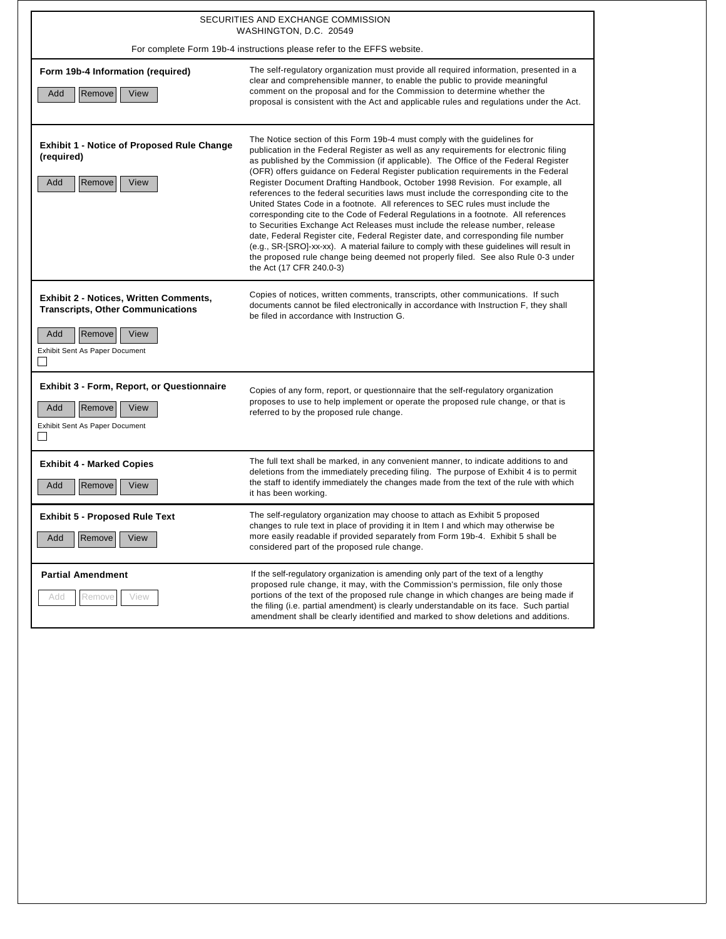|                                                                                                                                               | SECURITIES AND EXCHANGE COMMISSION<br>WASHINGTON, D.C. 20549                                                                                                                                                                                                                                                                                                                                                                                                                                                                                                                                                                                                                                                                                                                                                                                                                                                                                                                                                                                                                      |  |  |  |
|-----------------------------------------------------------------------------------------------------------------------------------------------|-----------------------------------------------------------------------------------------------------------------------------------------------------------------------------------------------------------------------------------------------------------------------------------------------------------------------------------------------------------------------------------------------------------------------------------------------------------------------------------------------------------------------------------------------------------------------------------------------------------------------------------------------------------------------------------------------------------------------------------------------------------------------------------------------------------------------------------------------------------------------------------------------------------------------------------------------------------------------------------------------------------------------------------------------------------------------------------|--|--|--|
| For complete Form 19b-4 instructions please refer to the EFFS website.                                                                        |                                                                                                                                                                                                                                                                                                                                                                                                                                                                                                                                                                                                                                                                                                                                                                                                                                                                                                                                                                                                                                                                                   |  |  |  |
| Form 19b-4 Information (required)<br>Remove<br>View<br>Add                                                                                    | The self-regulatory organization must provide all required information, presented in a<br>clear and comprehensible manner, to enable the public to provide meaningful<br>comment on the proposal and for the Commission to determine whether the<br>proposal is consistent with the Act and applicable rules and regulations under the Act.                                                                                                                                                                                                                                                                                                                                                                                                                                                                                                                                                                                                                                                                                                                                       |  |  |  |
| <b>Exhibit 1 - Notice of Proposed Rule Change</b><br>(required)<br>Remove<br>Add<br>View                                                      | The Notice section of this Form 19b-4 must comply with the guidelines for<br>publication in the Federal Register as well as any requirements for electronic filing<br>as published by the Commission (if applicable). The Office of the Federal Register<br>(OFR) offers guidance on Federal Register publication requirements in the Federal<br>Register Document Drafting Handbook, October 1998 Revision. For example, all<br>references to the federal securities laws must include the corresponding cite to the<br>United States Code in a footnote. All references to SEC rules must include the<br>corresponding cite to the Code of Federal Regulations in a footnote. All references<br>to Securities Exchange Act Releases must include the release number, release<br>date, Federal Register cite, Federal Register date, and corresponding file number<br>(e.g., SR-[SRO]-xx-xx). A material failure to comply with these guidelines will result in<br>the proposed rule change being deemed not properly filed. See also Rule 0-3 under<br>the Act (17 CFR 240.0-3) |  |  |  |
| Exhibit 2 - Notices, Written Comments,<br><b>Transcripts, Other Communications</b><br>Add<br>Remove<br>View<br>Exhibit Sent As Paper Document | Copies of notices, written comments, transcripts, other communications. If such<br>documents cannot be filed electronically in accordance with Instruction F, they shall<br>be filed in accordance with Instruction G.                                                                                                                                                                                                                                                                                                                                                                                                                                                                                                                                                                                                                                                                                                                                                                                                                                                            |  |  |  |
| <b>Exhibit 3 - Form, Report, or Questionnaire</b><br>Remove<br>Add<br>View<br>Exhibit Sent As Paper Document<br>$\Box$                        | Copies of any form, report, or questionnaire that the self-regulatory organization<br>proposes to use to help implement or operate the proposed rule change, or that is<br>referred to by the proposed rule change.                                                                                                                                                                                                                                                                                                                                                                                                                                                                                                                                                                                                                                                                                                                                                                                                                                                               |  |  |  |
| <b>Exhibit 4 - Marked Copies</b><br>Add<br>Remove<br>View                                                                                     | The full text shall be marked, in any convenient manner, to indicate additions to and<br>deletions from the immediately preceding filing. The purpose of Exhibit 4 is to permit<br>the staff to identify immediately the changes made from the text of the rule with which<br>it has been working.                                                                                                                                                                                                                                                                                                                                                                                                                                                                                                                                                                                                                                                                                                                                                                                |  |  |  |
| <b>Exhibit 5 - Proposed Rule Text</b><br>Add Remove<br>View                                                                                   | The self-regulatory organization may choose to attach as Exhibit 5 proposed<br>changes to rule text in place of providing it in Item I and which may otherwise be<br>more easily readable if provided separately from Form 19b-4. Exhibit 5 shall be<br>considered part of the proposed rule change.                                                                                                                                                                                                                                                                                                                                                                                                                                                                                                                                                                                                                                                                                                                                                                              |  |  |  |
| <b>Partial Amendment</b><br>Remove<br>View<br>Add                                                                                             | If the self-regulatory organization is amending only part of the text of a lengthy<br>proposed rule change, it may, with the Commission's permission, file only those<br>portions of the text of the proposed rule change in which changes are being made if<br>the filing (i.e. partial amendment) is clearly understandable on its face. Such partial<br>amendment shall be clearly identified and marked to show deletions and additions.                                                                                                                                                                                                                                                                                                                                                                                                                                                                                                                                                                                                                                      |  |  |  |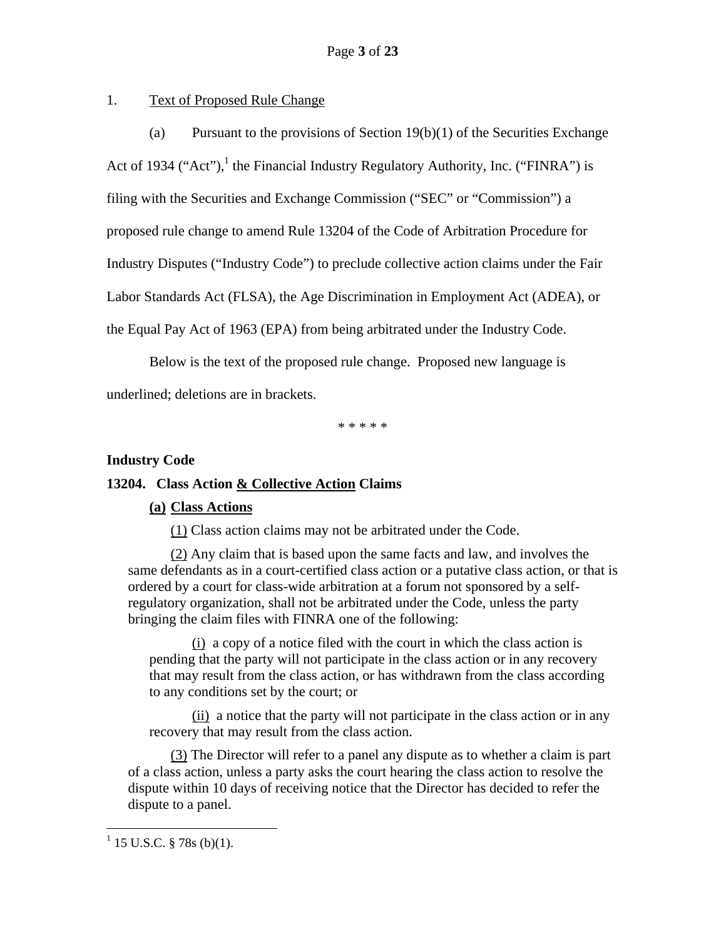## 1. Text of Proposed Rule Change

(a) Pursuant to the provisions of Section  $19(b)(1)$  of the Securities Exchange Act of 1934 ("Act"), $^1$  the Financial Industry Regulatory Authority, Inc. ("FINRA") is filing with the Securities and Exchange Commission ("SEC" or "Commission") a proposed rule change to amend Rule 13204 of the Code of Arbitration Procedure for Industry Disputes ("Industry Code") to preclude collective action claims under the Fair Labor Standards Act (FLSA), the Age Discrimination in Employment Act (ADEA), or the Equal Pay Act of 1963 (EPA) from being arbitrated under the Industry Code.

Below is the text of the proposed rule change. Proposed new language is underlined; deletions are in brackets.

\* \* \* \* \*

### **Industry Code**

### **13204. Class Action & Collective Action Claims**

### **(a) Class Actions**

(1) Class action claims may not be arbitrated under the Code.

(2) Any claim that is based upon the same facts and law, and involves the same defendants as in a court-certified class action or a putative class action, or that is ordered by a court for class-wide arbitration at a forum not sponsored by a selfregulatory organization, shall not be arbitrated under the Code, unless the party bringing the claim files with FINRA one of the following:

(i) a copy of a notice filed with the court in which the class action is pending that the party will not participate in the class action or in any recovery that may result from the class action, or has withdrawn from the class according to any conditions set by the court; or

(ii) a notice that the party will not participate in the class action or in any recovery that may result from the class action.

(3) The Director will refer to a panel any dispute as to whether a claim is part of a class action, unless a party asks the court hearing the class action to resolve the dispute within 10 days of receiving notice that the Director has decided to refer the dispute to a panel.

<u>.</u>

 $1$  15 U.S.C. § 78s (b)(1).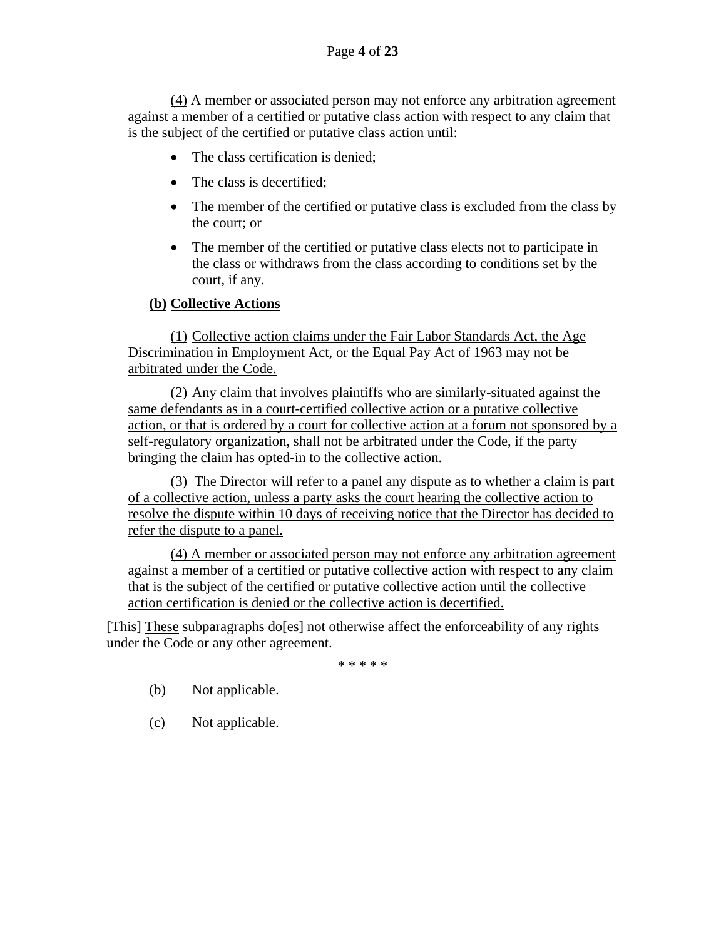(4) A member or associated person may not enforce any arbitration agreement against a member of a certified or putative class action with respect to any claim that is the subject of the certified or putative class action until:

- The class certification is denied;
- The class is decertified:
- The member of the certified or putative class is excluded from the class by the court; or
- The member of the certified or putative class elects not to participate in the class or withdraws from the class according to conditions set by the court, if any.

# **(b) Collective Actions**

(1) Collective action claims under the Fair Labor Standards Act, the Age Discrimination in Employment Act, or the Equal Pay Act of 1963 may not be arbitrated under the Code.

(2) Any claim that involves plaintiffs who are similarly-situated against the same defendants as in a court-certified collective action or a putative collective action, or that is ordered by a court for collective action at a forum not sponsored by a self-regulatory organization, shall not be arbitrated under the Code, if the party bringing the claim has opted-in to the collective action.

(3) The Director will refer to a panel any dispute as to whether a claim is part of a collective action, unless a party asks the court hearing the collective action to resolve the dispute within 10 days of receiving notice that the Director has decided to refer the dispute to a panel.

(4) A member or associated person may not enforce any arbitration agreement against a member of a certified or putative collective action with respect to any claim that is the subject of the certified or putative collective action until the collective action certification is denied or the collective action is decertified.

[This] These subparagraphs do[es] not otherwise affect the enforceability of any rights under the Code or any other agreement.

\* \* \* \* \*

- (b) Not applicable.
- (c) Not applicable.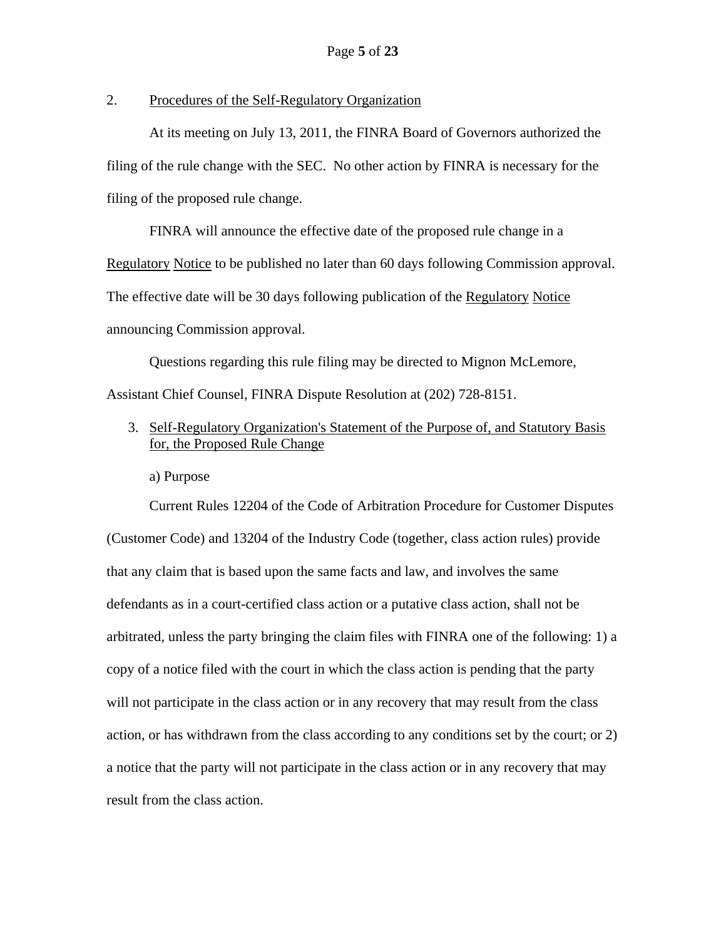## 2. Procedures of the Self-Regulatory Organization

At its meeting on July 13, 2011, the FINRA Board of Governors authorized the filing of the rule change with the SEC. No other action by FINRA is necessary for the filing of the proposed rule change.

FINRA will announce the effective date of the proposed rule change in a Regulatory Notice to be published no later than 60 days following Commission approval. The effective date will be 30 days following publication of the Regulatory Notice

announcing Commission approval.

Questions regarding this rule filing may be directed to Mignon McLemore, Assistant Chief Counsel, FINRA Dispute Resolution at (202) 728-8151.

3. Self-Regulatory Organization's Statement of the Purpose of, and Statutory Basis for, the Proposed Rule Change

a) Purpose

Current Rules 12204 of the Code of Arbitration Procedure for Customer Disputes (Customer Code) and 13204 of the Industry Code (together, class action rules) provide that any claim that is based upon the same facts and law, and involves the same defendants as in a court-certified class action or a putative class action, shall not be arbitrated, unless the party bringing the claim files with FINRA one of the following: 1) a copy of a notice filed with the court in which the class action is pending that the party will not participate in the class action or in any recovery that may result from the class action, or has withdrawn from the class according to any conditions set by the court; or 2) a notice that the party will not participate in the class action or in any recovery that may result from the class action.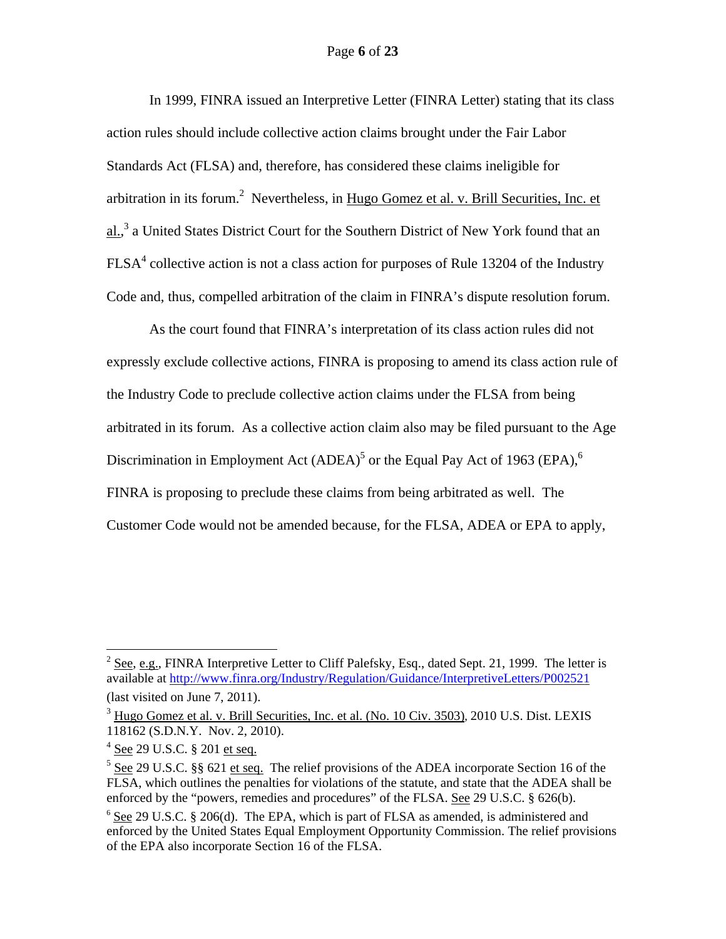### Page **6** of **23**

In 1999, FINRA issued an Interpretive Letter (FINRA Letter) stating that its class action rules should include collective action claims brought under the Fair Labor Standards Act (FLSA) and, therefore, has considered these claims ineligible for arbitration in its forum.<sup>2</sup> Nevertheless, in Hugo Gomez et al. v. Brill Securities, Inc. et al.,<sup>3</sup> a United States District Court for the Southern District of New York found that an  $FLSA<sup>4</sup>$  collective action is not a class action for purposes of Rule 13204 of the Industry Code and, thus, compelled arbitration of the claim in FINRA's dispute resolution forum.

As the court found that FINRA's interpretation of its class action rules did not expressly exclude collective actions, FINRA is proposing to amend its class action rule of the Industry Code to preclude collective action claims under the FLSA from being arbitrated in its forum. As a collective action claim also may be filed pursuant to the Age Discrimination in Employment Act  $(ADEA)^5$  or the Equal Pay Act of 1963 (EPA),<sup>6</sup> FINRA is proposing to preclude these claims from being arbitrated as well. The Customer Code would not be amended because, for the FLSA, ADEA or EPA to apply,

<u>.</u>

 $2 \text{ See, e.g., FINRA Interpretive Letter to Cliff Palefsky, Esq., dated Sept. 21, 1999. The letter is }$ available at http://www.finra.org/Industry/Regulation/Guidance/InterpretiveLetters/P002521 (last visited on June 7, 2011).

<sup>&</sup>lt;sup>3</sup> Hugo Gomez et al. v. Brill Securities, Inc. et al. (No. 10 Civ. 3503), 2010 U.S. Dist. LEXIS 118162 (S.D.N.Y. Nov. 2, 2010).

<sup>&</sup>lt;sup>4</sup> <u>See</u> 29 U.S.C. § 201 <u>et seq.</u>

 $5$  See 29 U.S.C. §§ 621 et seq. The relief provisions of the ADEA incorporate Section 16 of the FLSA, which outlines the penalties for violations of the statute, and state that the ADEA shall be enforced by the "powers, remedies and procedures" of the FLSA. See 29 U.S.C. § 626(b).

 $6$  See 29 U.S.C. § 206(d). The EPA, which is part of FLSA as amended, is administered and enforced by the United States Equal Employment Opportunity Commission. The relief provisions of the EPA also incorporate Section 16 of the FLSA.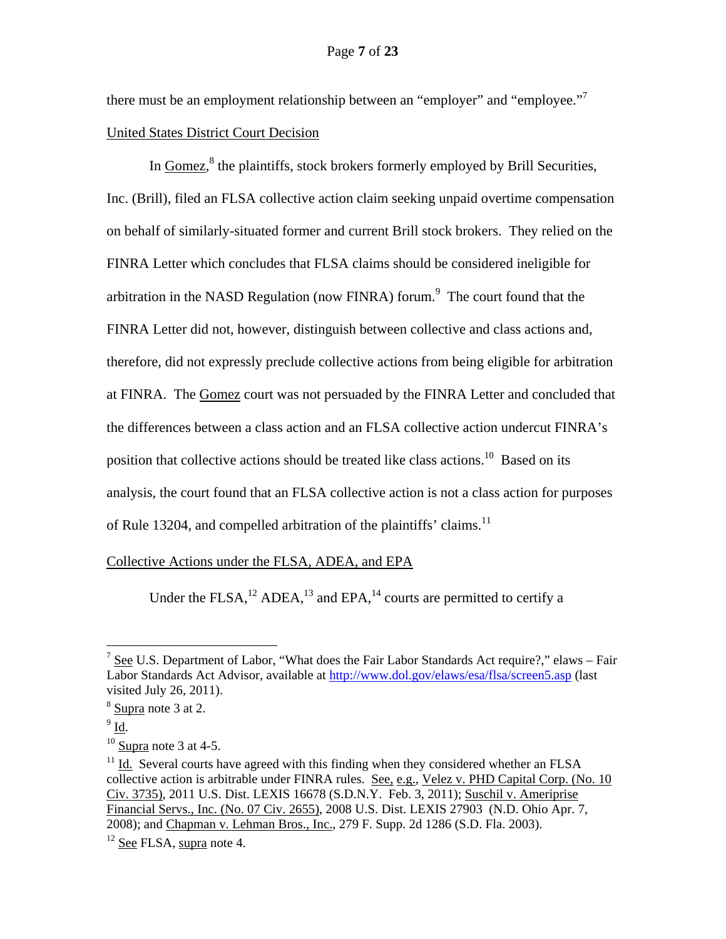there must be an employment relationship between an "employer" and "employee."<sup>7</sup> United States District Court Decision

In Gomez,<sup>8</sup> the plaintiffs, stock brokers formerly employed by Brill Securities, Inc. (Brill), filed an FLSA collective action claim seeking unpaid overtime compensation on behalf of similarly-situated former and current Brill stock brokers. They relied on the FINRA Letter which concludes that FLSA claims should be considered ineligible for arbitration in the NASD Regulation (now FINRA) forum. $9$  The court found that the FINRA Letter did not, however, distinguish between collective and class actions and, therefore, did not expressly preclude collective actions from being eligible for arbitration at FINRA. The Gomez court was not persuaded by the FINRA Letter and concluded that the differences between a class action and an FLSA collective action undercut FINRA's position that collective actions should be treated like class actions.<sup>10</sup> Based on its analysis, the court found that an FLSA collective action is not a class action for purposes of Rule 13204, and compelled arbitration of the plaintiffs' claims.<sup>11</sup>

## Collective Actions under the FLSA, ADEA, and EPA

Under the FLSA,<sup>12</sup> ADEA,<sup>13</sup> and EPA,<sup>14</sup> courts are permitted to certify a

<u>.</u>

 $^7$  See U.S. Department of Labor, "What does the Fair Labor Standards Act require?," elaws – Fair Labor Standards Act Advisor, available at http://www.dol.gov/elaws/esa/flsa/screen5.asp (last visited July 26, 2011).

 $8 \underline{\text{Supra}}$  note 3 at 2.

 $9 \underline{Id}$ .

 $10$  Supra note 3 at 4-5.

 $11$  Id. Several courts have agreed with this finding when they considered whether an FLSA collective action is arbitrable under FINRA rules. See, e.g., Velez v. PHD Capital Corp. (No. 10 Civ. 3735), 2011 U.S. Dist. LEXIS 16678 (S.D.N.Y. Feb. 3, 2011); Suschil v. Ameriprise Financial Servs., Inc. (No. 07 Civ. 2655), 2008 U.S. Dist. LEXIS 27903 (N.D. Ohio Apr. 7, 2008); and Chapman v. Lehman Bros., Inc., 279 F. Supp. 2d 1286 (S.D. Fla. 2003).

 $12$  See FLSA, supra note 4.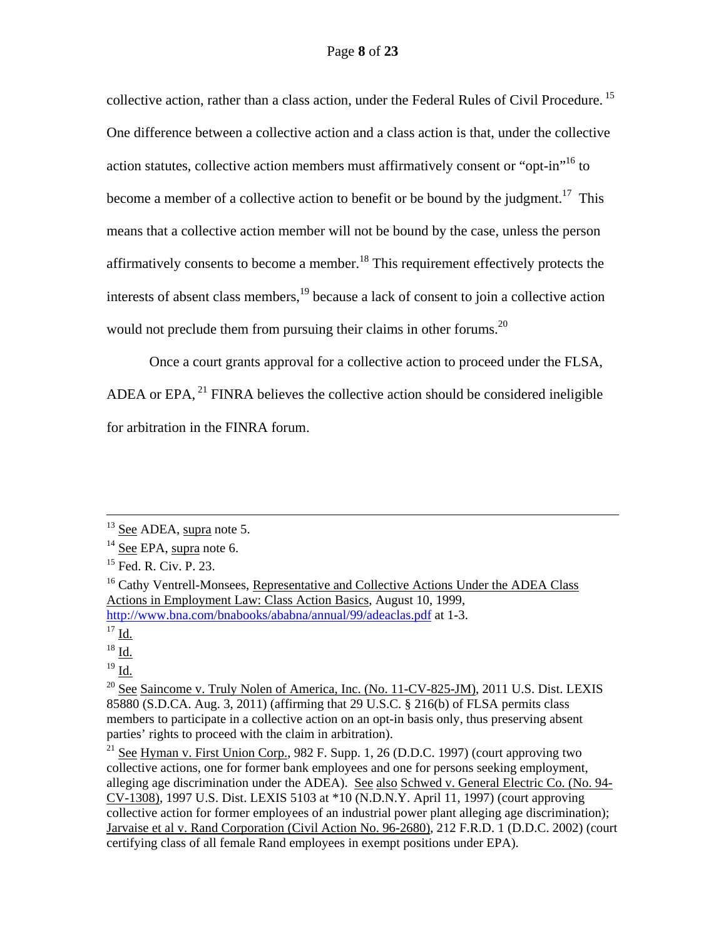collective action, rather than a class action, under the Federal Rules of Civil Procedure.<sup>15</sup> One difference between a collective action and a class action is that, under the collective action statutes, collective action members must affirmatively consent or "opt-in"<sup>16</sup> to become a member of a collective action to benefit or be bound by the judgment.<sup>17</sup> This means that a collective action member will not be bound by the case, unless the person affirmatively consents to become a member.<sup>18</sup> This requirement effectively protects the interests of absent class members,<sup>19</sup> because a lack of consent to join a collective action would not preclude them from pursuing their claims in other forums.<sup>20</sup>

Once a court grants approval for a collective action to proceed under the FLSA, ADEA or EPA,  $^{21}$  FINRA believes the collective action should be considered ineligible for arbitration in the FINRA forum.

 $18$  Id.

 $^{19}$  Id.

<sup>20</sup> See Saincome v. Truly Nolen of America, Inc. (No. 11-CV-825-JM), 2011 U.S. Dist. LEXIS 85880 (S.D.CA. Aug. 3, 2011) (affirming that 29 U.S.C. § 216(b) of FLSA permits class members to participate in a collective action on an opt-in basis only, thus preserving absent parties' rights to proceed with the claim in arbitration).

<sup>21</sup> See Hyman v. First Union Corp., 982 F. Supp. 1, 26 (D.D.C. 1997) (court approving two collective actions, one for former bank employees and one for persons seeking employment, alleging age discrimination under the ADEA). See also Schwed v. General Electric Co. (No. 94-CV-1308), 1997 U.S. Dist. LEXIS 5103 at \*10 (N.D.N.Y. April 11, 1997) (court approving collective action for former employees of an industrial power plant alleging age discrimination); Jarvaise et al v. Rand Corporation (Civil Action No. 96-2680), 212 F.R.D. 1 (D.D.C. 2002) (court certifying class of all female Rand employees in exempt positions under EPA).

<sup>&</sup>lt;sup>13</sup> See ADEA, supra note 5.

<sup>&</sup>lt;sup>14</sup> See EPA, supra note 6.

<sup>&</sup>lt;sup>15</sup> Fed. R. Civ. P. 23.

<sup>&</sup>lt;sup>16</sup> Cathy Ventrell-Monsees, Representative and Collective Actions Under the ADEA Class Actions in Employment Law: Class Action Basics, August 10, 1999, http://www.bna.com/bnabooks/ababna/annual/99/adeaclas.pdf at 1-3.

 $\frac{17}{17}$  Id.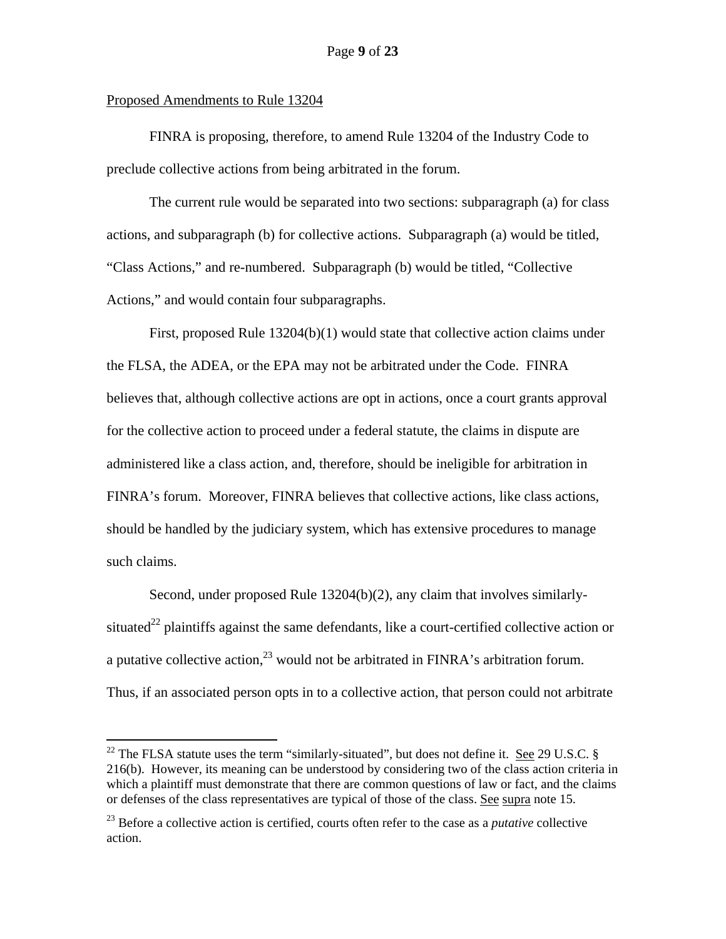### Proposed Amendments to Rule 13204

 $\overline{a}$ 

FINRA is proposing, therefore, to amend Rule 13204 of the Industry Code to preclude collective actions from being arbitrated in the forum.

The current rule would be separated into two sections: subparagraph (a) for class actions, and subparagraph (b) for collective actions. Subparagraph (a) would be titled, "Class Actions," and re-numbered. Subparagraph (b) would be titled, "Collective Actions," and would contain four subparagraphs.

First, proposed Rule 13204(b)(1) would state that collective action claims under the FLSA, the ADEA, or the EPA may not be arbitrated under the Code. FINRA believes that, although collective actions are opt in actions, once a court grants approval for the collective action to proceed under a federal statute, the claims in dispute are administered like a class action, and, therefore, should be ineligible for arbitration in FINRA's forum. Moreover, FINRA believes that collective actions, like class actions, should be handled by the judiciary system, which has extensive procedures to manage such claims.

Second, under proposed Rule 13204(b)(2), any claim that involves similarlysituated<sup>22</sup> plaintiffs against the same defendants, like a court-certified collective action or a putative collective action,  $23 \text{ would not be arbitrated in FINRA's activation forum.}$ Thus, if an associated person opts in to a collective action, that person could not arbitrate

<sup>&</sup>lt;sup>22</sup> The FLSA statute uses the term "similarly-situated", but does not define it. <u>See</u> 29 U.S.C.  $\S$ 216(b). However, its meaning can be understood by considering two of the class action criteria in which a plaintiff must demonstrate that there are common questions of law or fact, and the claims or defenses of the class representatives are typical of those of the class. See supra note 15.

<sup>23</sup> Before a collective action is certified, courts often refer to the case as a *putative* collective action.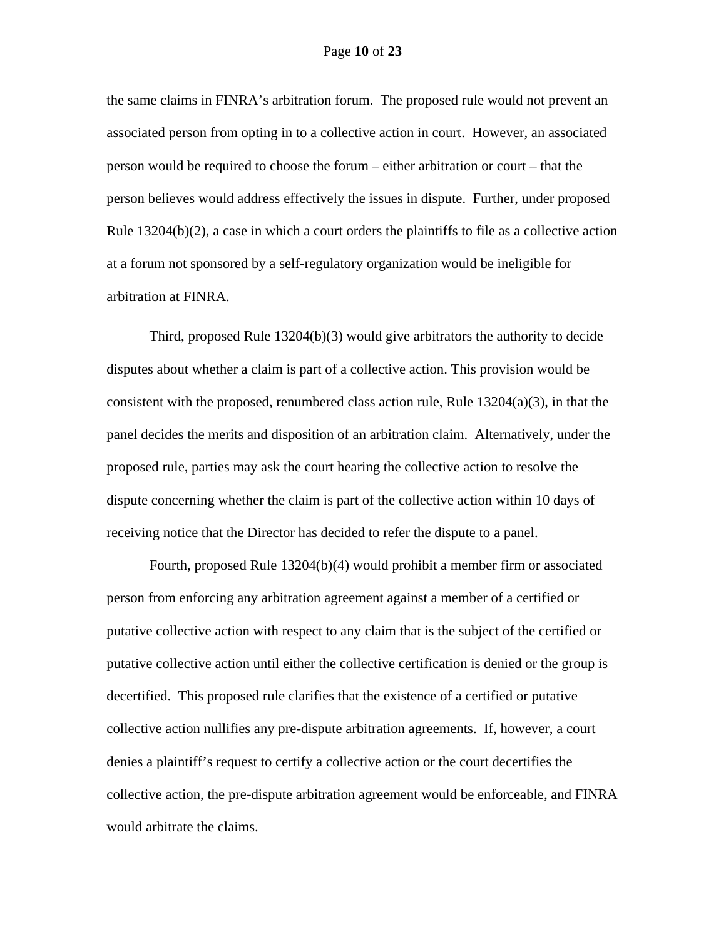the same claims in FINRA's arbitration forum. The proposed rule would not prevent an associated person from opting in to a collective action in court. However, an associated person would be required to choose the forum – either arbitration or court – that the person believes would address effectively the issues in dispute. Further, under proposed Rule 13204(b)(2), a case in which a court orders the plaintiffs to file as a collective action at a forum not sponsored by a self-regulatory organization would be ineligible for arbitration at FINRA.

Third, proposed Rule 13204(b)(3) would give arbitrators the authority to decide disputes about whether a claim is part of a collective action. This provision would be consistent with the proposed, renumbered class action rule, Rule  $13204(a)(3)$ , in that the panel decides the merits and disposition of an arbitration claim. Alternatively, under the proposed rule, parties may ask the court hearing the collective action to resolve the dispute concerning whether the claim is part of the collective action within 10 days of receiving notice that the Director has decided to refer the dispute to a panel.

Fourth, proposed Rule 13204(b)(4) would prohibit a member firm or associated person from enforcing any arbitration agreement against a member of a certified or putative collective action with respect to any claim that is the subject of the certified or putative collective action until either the collective certification is denied or the group is decertified. This proposed rule clarifies that the existence of a certified or putative collective action nullifies any pre-dispute arbitration agreements. If, however, a court denies a plaintiff's request to certify a collective action or the court decertifies the collective action, the pre-dispute arbitration agreement would be enforceable, and FINRA would arbitrate the claims.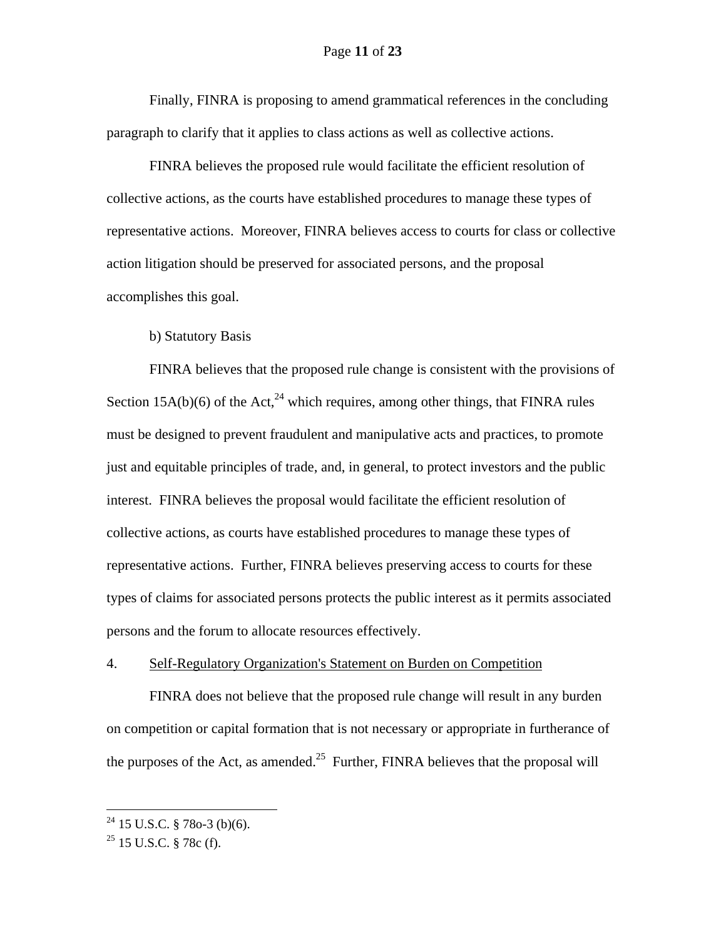Finally, FINRA is proposing to amend grammatical references in the concluding paragraph to clarify that it applies to class actions as well as collective actions.

FINRA believes the proposed rule would facilitate the efficient resolution of collective actions, as the courts have established procedures to manage these types of representative actions. Moreover, FINRA believes access to courts for class or collective action litigation should be preserved for associated persons, and the proposal accomplishes this goal.

b) Statutory Basis

FINRA believes that the proposed rule change is consistent with the provisions of Section 15A(b)(6) of the Act,  $24$  which requires, among other things, that FINRA rules must be designed to prevent fraudulent and manipulative acts and practices, to promote just and equitable principles of trade, and, in general, to protect investors and the public interest. FINRA believes the proposal would facilitate the efficient resolution of collective actions, as courts have established procedures to manage these types of representative actions. Further, FINRA believes preserving access to courts for these types of claims for associated persons protects the public interest as it permits associated persons and the forum to allocate resources effectively.

#### 4. Self-Regulatory Organization's Statement on Burden on Competition

FINRA does not believe that the proposed rule change will result in any burden on competition or capital formation that is not necessary or appropriate in furtherance of the purposes of the Act, as amended.<sup>25</sup> Further, FINRA believes that the proposal will

 $^{24}$  15 U.S.C. § 78o-3 (b)(6).

 $25$  15 U.S.C. § 78c (f).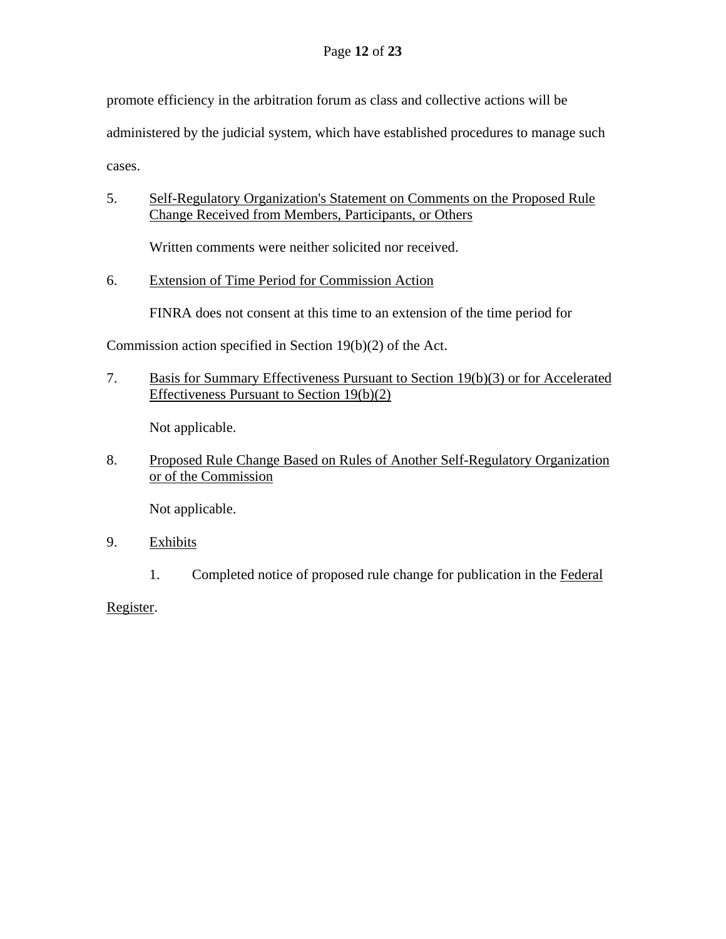promote efficiency in the arbitration forum as class and collective actions will be

administered by the judicial system, which have established procedures to manage such

cases.

5. Self-Regulatory Organization's Statement on Comments on the Proposed Rule Change Received from Members, Participants, or Others

Written comments were neither solicited nor received.

6. Extension of Time Period for Commission Action

FINRA does not consent at this time to an extension of the time period for

Commission action specified in Section 19(b)(2) of the Act.

7. Basis for Summary Effectiveness Pursuant to Section 19(b)(3) or for Accelerated Effectiveness Pursuant to Section 19(b)(2)

Not applicable.

8. Proposed Rule Change Based on Rules of Another Self-Regulatory Organization or of the Commission

Not applicable.

- 9. Exhibits
	- 1. Completed notice of proposed rule change for publication in the Federal

Register.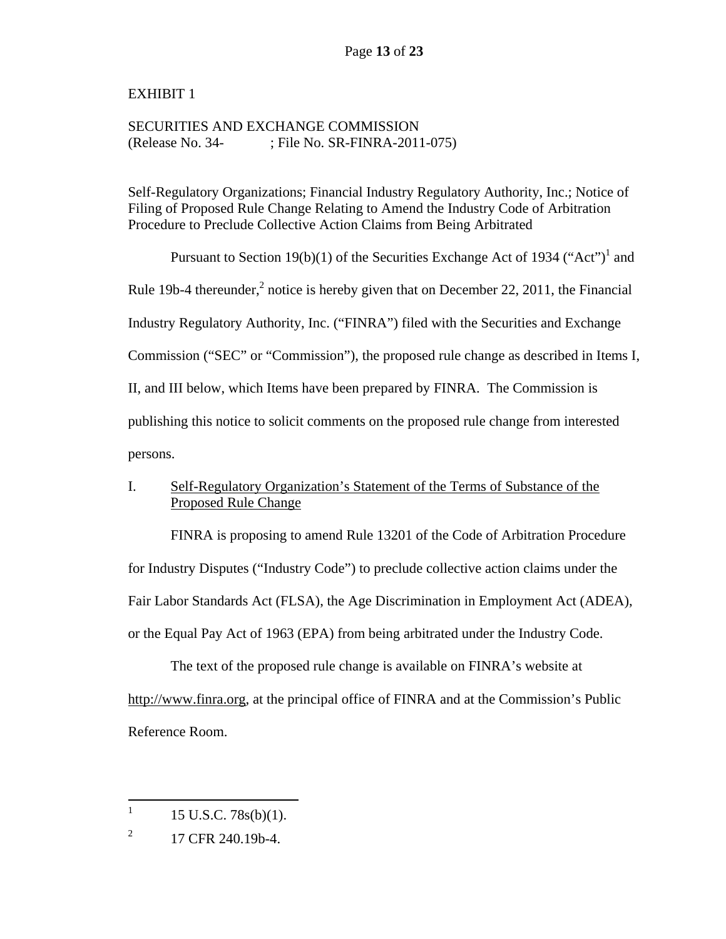# EXHIBIT 1

# SECURITIES AND EXCHANGE COMMISSION (Release No. 34- ; File No. SR-FINRA-2011-075)

Self-Regulatory Organizations; Financial Industry Regulatory Authority, Inc.; Notice of Filing of Proposed Rule Change Relating to Amend the Industry Code of Arbitration Procedure to Preclude Collective Action Claims from Being Arbitrated

Pursuant to Section 19(b)(1) of the Securities Exchange Act of 1934 ("Act")<sup>1</sup> and Rule 19b-4 thereunder, $^2$  notice is hereby given that on December 22, 2011, the Financial Industry Regulatory Authority, Inc. ("FINRA") filed with the Securities and Exchange Commission ("SEC" or "Commission"), the proposed rule change as described in Items I, II, and III below, which Items have been prepared by FINRA. The Commission is publishing this notice to solicit comments on the proposed rule change from interested persons.

# I. Self-Regulatory Organization's Statement of the Terms of Substance of the Proposed Rule Change

FINRA is proposing to amend Rule 13201 of the Code of Arbitration Procedure for Industry Disputes ("Industry Code") to preclude collective action claims under the Fair Labor Standards Act (FLSA), the Age Discrimination in Employment Act (ADEA), or the Equal Pay Act of 1963 (EPA) from being arbitrated under the Industry Code.

The text of the proposed rule change is available on FINRA's website at http://www.finra.org, at the principal office of FINRA and at the Commission's Public Reference Room.

 $\frac{1}{1}$ 15 U.S.C. 78s(b)(1).

<sup>2</sup> 17 CFR 240.19b-4.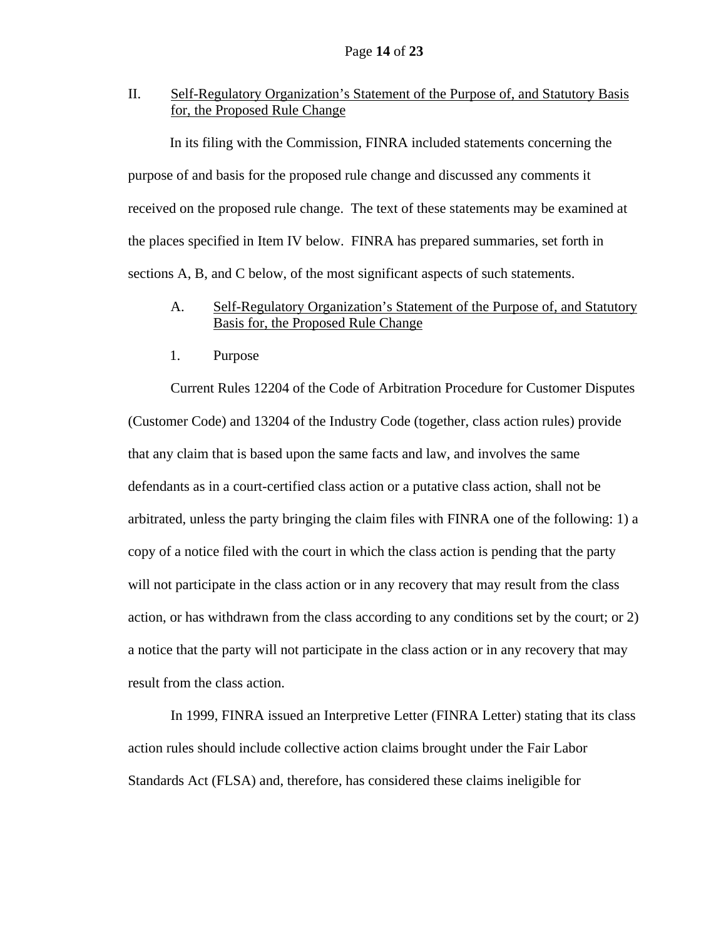II. Self-Regulatory Organization's Statement of the Purpose of, and Statutory Basis for, the Proposed Rule Change

In its filing with the Commission, FINRA included statements concerning the purpose of and basis for the proposed rule change and discussed any comments it received on the proposed rule change. The text of these statements may be examined at the places specified in Item IV below. FINRA has prepared summaries, set forth in sections A, B, and C below, of the most significant aspects of such statements.

## A. Self-Regulatory Organization's Statement of the Purpose of, and Statutory Basis for, the Proposed Rule Change

1. Purpose

Current Rules 12204 of the Code of Arbitration Procedure for Customer Disputes (Customer Code) and 13204 of the Industry Code (together, class action rules) provide that any claim that is based upon the same facts and law, and involves the same defendants as in a court-certified class action or a putative class action, shall not be arbitrated, unless the party bringing the claim files with FINRA one of the following: 1) a copy of a notice filed with the court in which the class action is pending that the party will not participate in the class action or in any recovery that may result from the class action, or has withdrawn from the class according to any conditions set by the court; or 2) a notice that the party will not participate in the class action or in any recovery that may result from the class action.

In 1999, FINRA issued an Interpretive Letter (FINRA Letter) stating that its class action rules should include collective action claims brought under the Fair Labor Standards Act (FLSA) and, therefore, has considered these claims ineligible for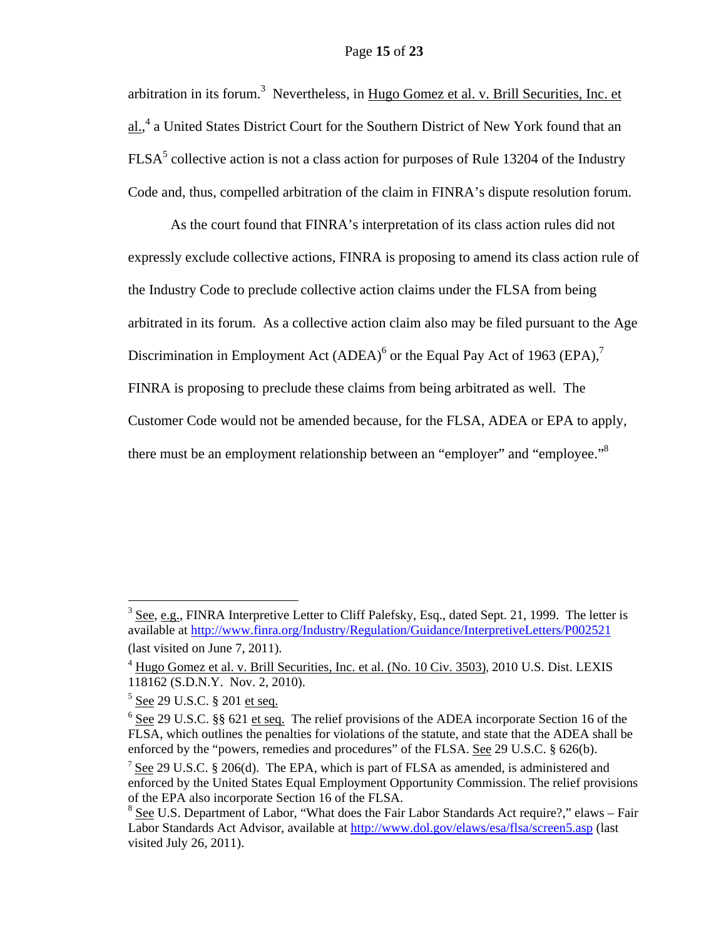### Page **15** of **23**

arbitration in its forum.<sup>3</sup> Nevertheless, in Hugo Gomez et al. v. Brill Securities, Inc. et al.,<sup>4</sup> a United States District Court for the Southern District of New York found that an  $FLSA<sup>5</sup>$  collective action is not a class action for purposes of Rule 13204 of the Industry Code and, thus, compelled arbitration of the claim in FINRA's dispute resolution forum.

As the court found that FINRA's interpretation of its class action rules did not expressly exclude collective actions, FINRA is proposing to amend its class action rule of the Industry Code to preclude collective action claims under the FLSA from being arbitrated in its forum. As a collective action claim also may be filed pursuant to the Age Discrimination in Employment Act  $(ADEA)^6$  or the Equal Pay Act of 1963 (EPA),<sup>7</sup> FINRA is proposing to preclude these claims from being arbitrated as well. The Customer Code would not be amended because, for the FLSA, ADEA or EPA to apply, there must be an employment relationship between an "employer" and "employee."<sup>8</sup>

 $3 \text{ See}, e.g., FINRA Interpretive Letter to Cliff Palefsky, Esq., dated Sept. 21, 1999. The letter is$ available at http://www.finra.org/Industry/Regulation/Guidance/InterpretiveLetters/P002521

<sup>(</sup>last visited on June 7, 2011).

<sup>&</sup>lt;sup>4</sup> Hugo Gomez et al. v. Brill Securities, Inc. et al. (No. 10 Civ. 3503), 2010 U.S. Dist. LEXIS 118162 (S.D.N.Y. Nov. 2, 2010).

<sup>&</sup>lt;sup>5</sup> <u>See</u> 29 U.S.C. § 201 <u>et seq.</u>

 $6$  See 29 U.S.C. §§ 621 et seq. The relief provisions of the ADEA incorporate Section 16 of the FLSA, which outlines the penalties for violations of the statute, and state that the ADEA shall be enforced by the "powers, remedies and procedures" of the FLSA. See 29 U.S.C. § 626(b).

<sup>&</sup>lt;sup>7</sup> See 29 U.S.C. § 206(d). The EPA, which is part of FLSA as amended, is administered and enforced by the United States Equal Employment Opportunity Commission. The relief provisions of the EPA also incorporate Section 16 of the FLSA.

 $8$  See U.S. Department of Labor, "What does the Fair Labor Standards Act require?," elaws – Fair Labor Standards Act Advisor, available at http://www.dol.gov/elaws/esa/flsa/screen5.asp (last visited July 26, 2011).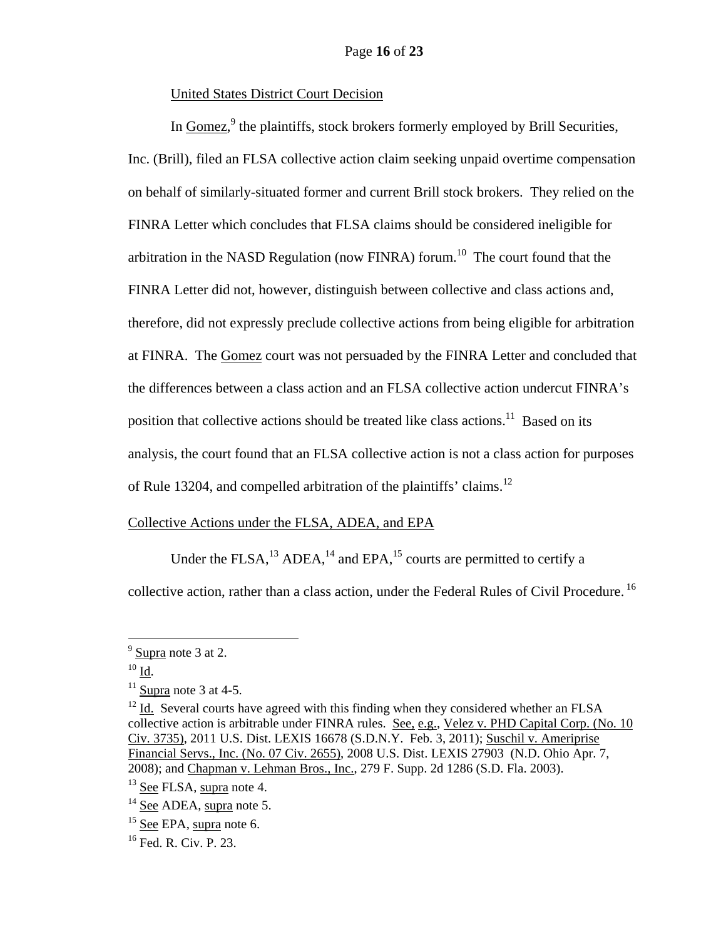## United States District Court Decision

In Gomez,<sup>9</sup> the plaintiffs, stock brokers formerly employed by Brill Securities, Inc. (Brill), filed an FLSA collective action claim seeking unpaid overtime compensation on behalf of similarly-situated former and current Brill stock brokers. They relied on the FINRA Letter which concludes that FLSA claims should be considered ineligible for arbitration in the NASD Regulation (now FINRA) forum.<sup>10</sup> The court found that the FINRA Letter did not, however, distinguish between collective and class actions and, therefore, did not expressly preclude collective actions from being eligible for arbitration at FINRA. The Gomez court was not persuaded by the FINRA Letter and concluded that the differences between a class action and an FLSA collective action undercut FINRA's position that collective actions should be treated like class actions.<sup>11</sup> Based on its analysis, the court found that an FLSA collective action is not a class action for purposes of Rule 13204, and compelled arbitration of the plaintiffs' claims.<sup>12</sup>

### Collective Actions under the FLSA, ADEA, and EPA

Under the FLSA, $^{13}$  ADEA, $^{14}$  and EPA, $^{15}$  courts are permitted to certify a

collective action, rather than a class action, under the Federal Rules of Civil Procedure.<sup>16</sup>

 $9^9$  Supra note 3 at 2.

 $\frac{10}{11}$  Supra note 3 at 4-5.

 $12$  Id. Several courts have agreed with this finding when they considered whether an FLSA collective action is arbitrable under FINRA rules. See, e.g., Velez v. PHD Capital Corp. (No. 10 Civ. 3735), 2011 U.S. Dist. LEXIS 16678 (S.D.N.Y. Feb. 3, 2011); Suschil v. Ameriprise Financial Servs., Inc. (No. 07 Civ. 2655), 2008 U.S. Dist. LEXIS 27903 (N.D. Ohio Apr. 7, 2008); and Chapman v. Lehman Bros., Inc., 279 F. Supp. 2d 1286 (S.D. Fla. 2003).

 $13$  See FLSA, supra note 4.

<sup>&</sup>lt;sup>14</sup> See ADEA, supra note 5.

 $15$  See EPA, supra note 6.

<sup>16</sup> Fed. R. Civ. P. 23.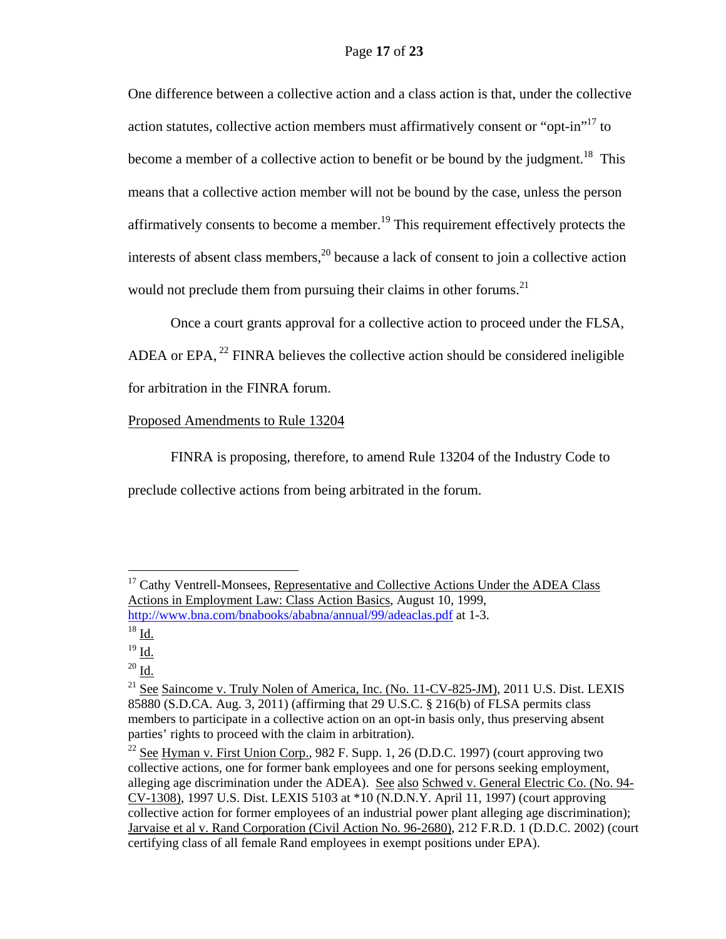One difference between a collective action and a class action is that, under the collective action statutes, collective action members must affirmatively consent or "opt-in"<sup>17</sup> to become a member of a collective action to benefit or be bound by the judgment.<sup>18</sup> This means that a collective action member will not be bound by the case, unless the person affirmatively consents to become a member.<sup>19</sup> This requirement effectively protects the interests of absent class members, $^{20}$  because a lack of consent to join a collective action would not preclude them from pursuing their claims in other forums.<sup>21</sup>

Once a court grants approval for a collective action to proceed under the FLSA, ADEA or EPA,  $^{22}$  FINRA believes the collective action should be considered ineligible for arbitration in the FINRA forum.

### Proposed Amendments to Rule 13204

FINRA is proposing, therefore, to amend Rule 13204 of the Industry Code to preclude collective actions from being arbitrated in the forum.

 $\overline{a}$ 

 $20$  Id.

<sup>&</sup>lt;sup>17</sup> Cathy Ventrell-Monsees, Representative and Collective Actions Under the ADEA Class Actions in Employment Law: Class Action Basics, August 10, 1999, http://www.bna.com/bnabooks/ababna/annual/99/adeaclas.pdf at 1-3.

 $18$  Id.

 $19$  Id.

 $21$  See Saincome v. Truly Nolen of America, Inc. (No. 11-CV-825-JM), 2011 U.S. Dist. LEXIS 85880 (S.D.CA. Aug. 3, 2011) (affirming that 29 U.S.C. § 216(b) of FLSA permits class members to participate in a collective action on an opt-in basis only, thus preserving absent parties' rights to proceed with the claim in arbitration).

<sup>&</sup>lt;sup>22</sup> See Hyman v. First Union Corp., 982 F. Supp. 1, 26 (D.D.C. 1997) (court approving two collective actions, one for former bank employees and one for persons seeking employment, alleging age discrimination under the ADEA). See also Schwed v. General Electric Co. (No. 94- CV-1308), 1997 U.S. Dist. LEXIS 5103 at \*10 (N.D.N.Y. April 11, 1997) (court approving collective action for former employees of an industrial power plant alleging age discrimination); Jarvaise et al v. Rand Corporation (Civil Action No. 96-2680), 212 F.R.D. 1 (D.D.C. 2002) (court certifying class of all female Rand employees in exempt positions under EPA).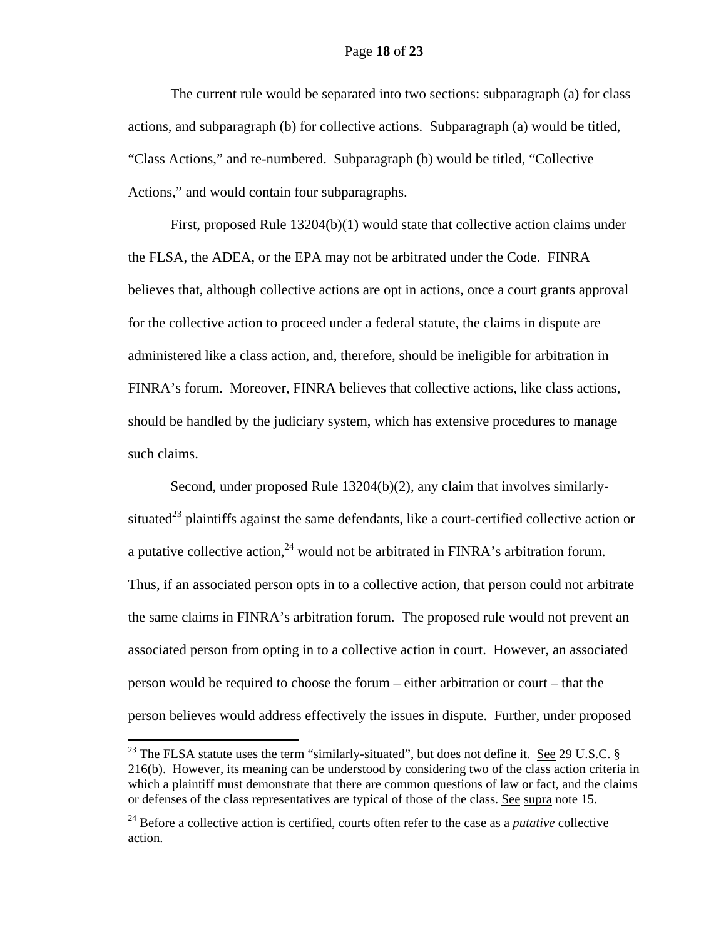### Page **18** of **23**

The current rule would be separated into two sections: subparagraph (a) for class actions, and subparagraph (b) for collective actions. Subparagraph (a) would be titled, "Class Actions," and re-numbered. Subparagraph (b) would be titled, "Collective Actions," and would contain four subparagraphs.

First, proposed Rule 13204(b)(1) would state that collective action claims under the FLSA, the ADEA, or the EPA may not be arbitrated under the Code. FINRA believes that, although collective actions are opt in actions, once a court grants approval for the collective action to proceed under a federal statute, the claims in dispute are administered like a class action, and, therefore, should be ineligible for arbitration in FINRA's forum. Moreover, FINRA believes that collective actions, like class actions, should be handled by the judiciary system, which has extensive procedures to manage such claims.

Second, under proposed Rule 13204(b)(2), any claim that involves similarlysituated<sup>23</sup> plaintiffs against the same defendants, like a court-certified collective action or a putative collective action,  $24$  would not be arbitrated in FINRA's arbitration forum. Thus, if an associated person opts in to a collective action, that person could not arbitrate the same claims in FINRA's arbitration forum. The proposed rule would not prevent an associated person from opting in to a collective action in court. However, an associated person would be required to choose the forum – either arbitration or court – that the person believes would address effectively the issues in dispute. Further, under proposed

<sup>&</sup>lt;sup>23</sup> The FLSA statute uses the term "similarly-situated", but does not define it. <u>See</u> 29 U.S.C.  $\S$ 216(b). However, its meaning can be understood by considering two of the class action criteria in which a plaintiff must demonstrate that there are common questions of law or fact, and the claims or defenses of the class representatives are typical of those of the class. See supra note 15.

<sup>24</sup> Before a collective action is certified, courts often refer to the case as a *putative* collective action.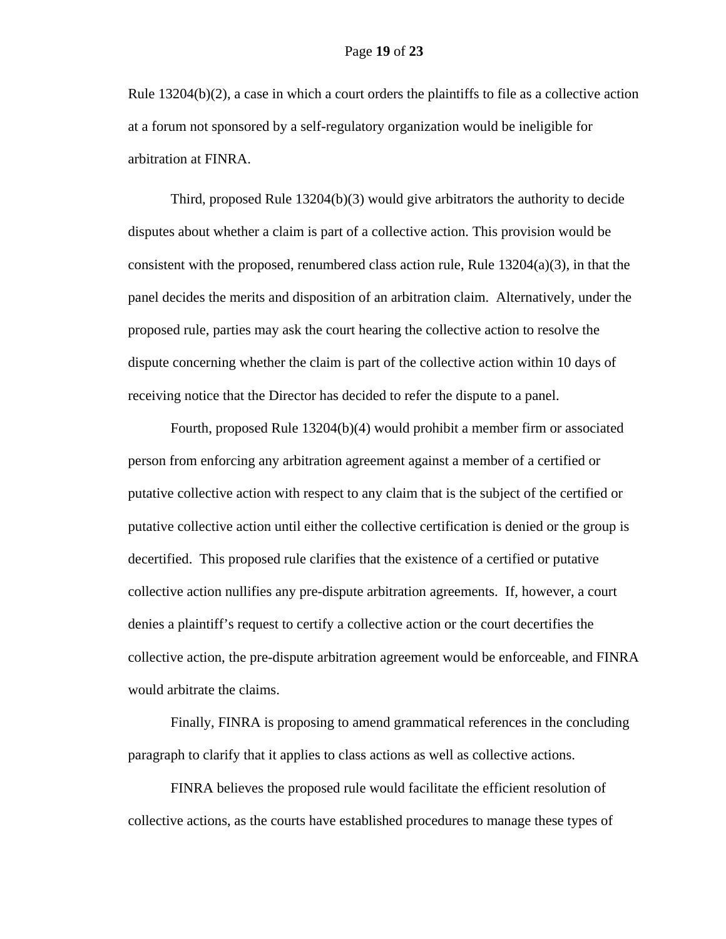Rule 13204(b)(2), a case in which a court orders the plaintiffs to file as a collective action at a forum not sponsored by a self-regulatory organization would be ineligible for arbitration at FINRA.

Third, proposed Rule 13204(b)(3) would give arbitrators the authority to decide disputes about whether a claim is part of a collective action. This provision would be consistent with the proposed, renumbered class action rule, Rule  $13204(a)(3)$ , in that the panel decides the merits and disposition of an arbitration claim. Alternatively, under the proposed rule, parties may ask the court hearing the collective action to resolve the dispute concerning whether the claim is part of the collective action within 10 days of receiving notice that the Director has decided to refer the dispute to a panel.

Fourth, proposed Rule 13204(b)(4) would prohibit a member firm or associated person from enforcing any arbitration agreement against a member of a certified or putative collective action with respect to any claim that is the subject of the certified or putative collective action until either the collective certification is denied or the group is decertified. This proposed rule clarifies that the existence of a certified or putative collective action nullifies any pre-dispute arbitration agreements. If, however, a court denies a plaintiff's request to certify a collective action or the court decertifies the collective action, the pre-dispute arbitration agreement would be enforceable, and FINRA would arbitrate the claims.

Finally, FINRA is proposing to amend grammatical references in the concluding paragraph to clarify that it applies to class actions as well as collective actions.

FINRA believes the proposed rule would facilitate the efficient resolution of collective actions, as the courts have established procedures to manage these types of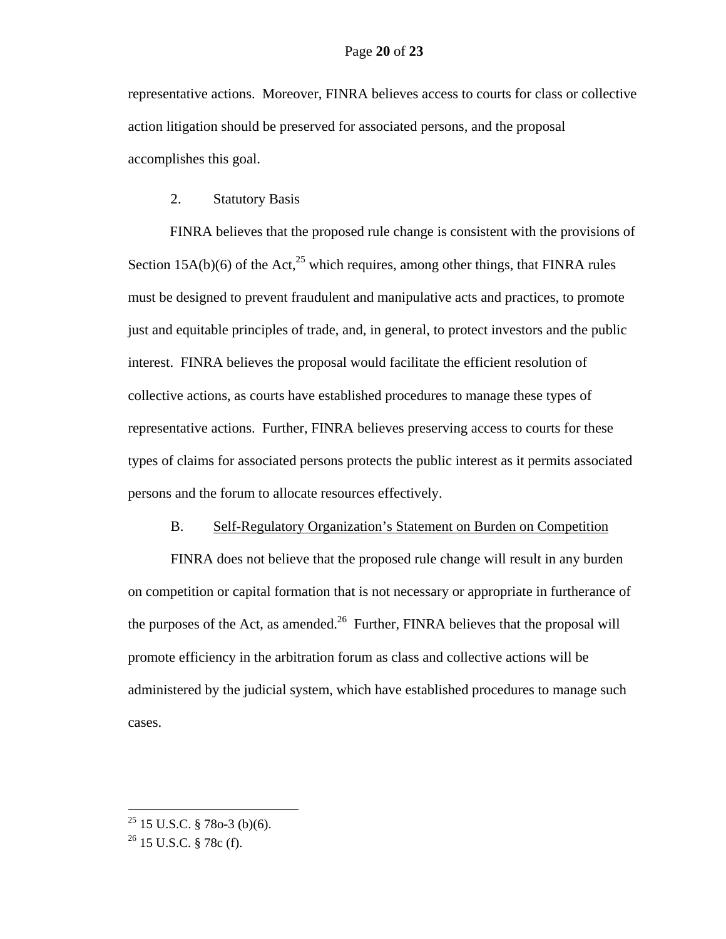representative actions. Moreover, FINRA believes access to courts for class or collective action litigation should be preserved for associated persons, and the proposal accomplishes this goal.

## 2. Statutory Basis

FINRA believes that the proposed rule change is consistent with the provisions of Section 15A(b)(6) of the Act, $^{25}$  which requires, among other things, that FINRA rules must be designed to prevent fraudulent and manipulative acts and practices, to promote just and equitable principles of trade, and, in general, to protect investors and the public interest. FINRA believes the proposal would facilitate the efficient resolution of collective actions, as courts have established procedures to manage these types of representative actions. Further, FINRA believes preserving access to courts for these types of claims for associated persons protects the public interest as it permits associated persons and the forum to allocate resources effectively.

#### B. Self-Regulatory Organization's Statement on Burden on Competition

FINRA does not believe that the proposed rule change will result in any burden on competition or capital formation that is not necessary or appropriate in furtherance of the purposes of the Act, as amended.<sup>26</sup> Further, FINRA believes that the proposal will promote efficiency in the arbitration forum as class and collective actions will be administered by the judicial system, which have established procedures to manage such cases.

 $^{25}$  15 U.S.C. § 78o-3 (b)(6).

<sup>26 15</sup> U.S.C. § 78c (f).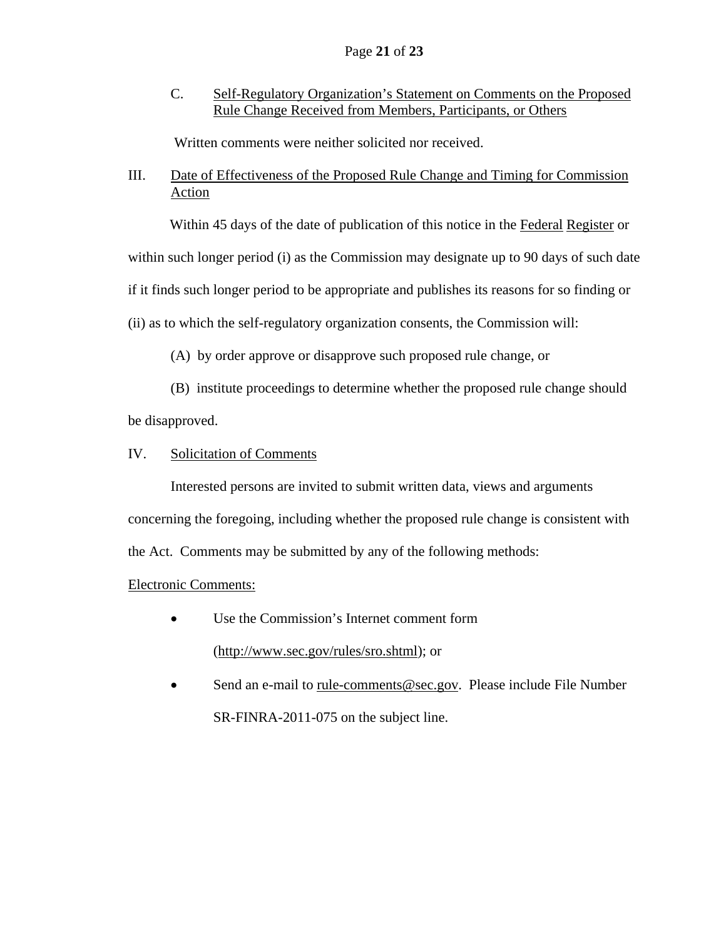C. Self-Regulatory Organization's Statement on Comments on the Proposed Rule Change Received from Members, Participants, or Others

Written comments were neither solicited nor received.

# III. Date of Effectiveness of the Proposed Rule Change and Timing for Commission Action

Within 45 days of the date of publication of this notice in the Federal Register or

within such longer period (i) as the Commission may designate up to 90 days of such date

if it finds such longer period to be appropriate and publishes its reasons for so finding or

(ii) as to which the self-regulatory organization consents, the Commission will:

(A) by order approve or disapprove such proposed rule change, or

 (B) institute proceedings to determine whether the proposed rule change should be disapproved.

# IV. Solicitation of Comments

 Interested persons are invited to submit written data, views and arguments concerning the foregoing, including whether the proposed rule change is consistent with the Act. Comments may be submitted by any of the following methods:

# Electronic Comments:

- Use the Commission's Internet comment form (http://www.sec.gov/rules/sro.shtml); or
- Send an e-mail to rule-comments@sec.gov. Please include File Number SR-FINRA-2011-075 on the subject line.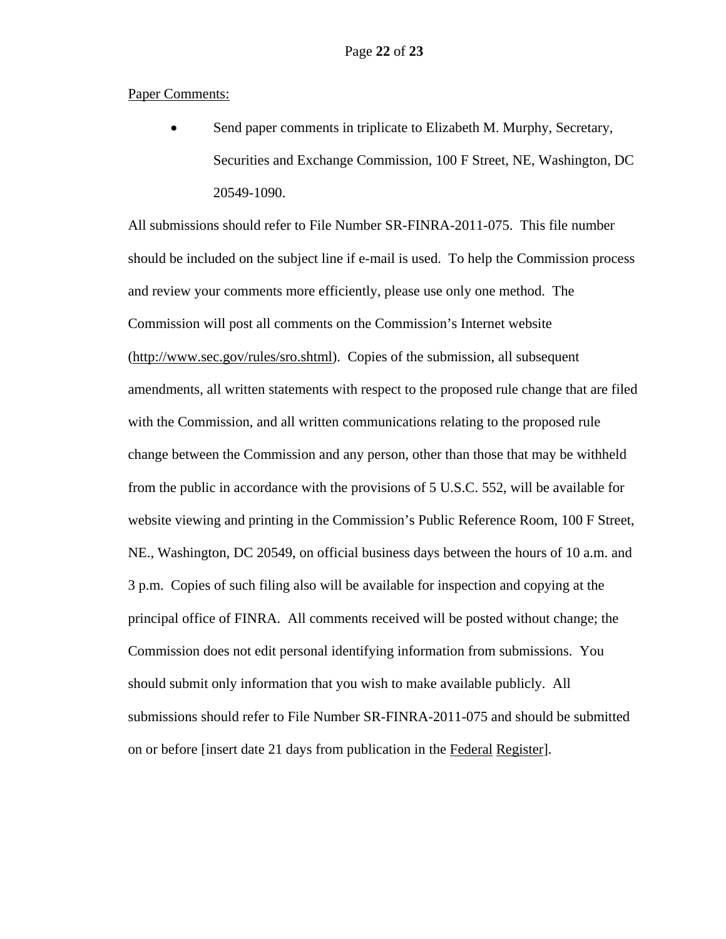### Paper Comments:

 Send paper comments in triplicate to Elizabeth M. Murphy, Secretary, Securities and Exchange Commission, 100 F Street, NE, Washington, DC 20549-1090.

All submissions should refer to File Number SR-FINRA-2011-075. This file number should be included on the subject line if e-mail is used. To help the Commission process and review your comments more efficiently, please use only one method. The Commission will post all comments on the Commission's Internet website (http://www.sec.gov/rules/sro.shtml). Copies of the submission, all subsequent amendments, all written statements with respect to the proposed rule change that are filed with the Commission, and all written communications relating to the proposed rule change between the Commission and any person, other than those that may be withheld from the public in accordance with the provisions of 5 U.S.C. 552, will be available for website viewing and printing in the Commission's Public Reference Room, 100 F Street, NE., Washington, DC 20549, on official business days between the hours of 10 a.m. and 3 p.m. Copies of such filing also will be available for inspection and copying at the principal office of FINRA. All comments received will be posted without change; the Commission does not edit personal identifying information from submissions. You should submit only information that you wish to make available publicly. All submissions should refer to File Number SR-FINRA-2011-075 and should be submitted on or before [insert date 21 days from publication in the Federal Register].